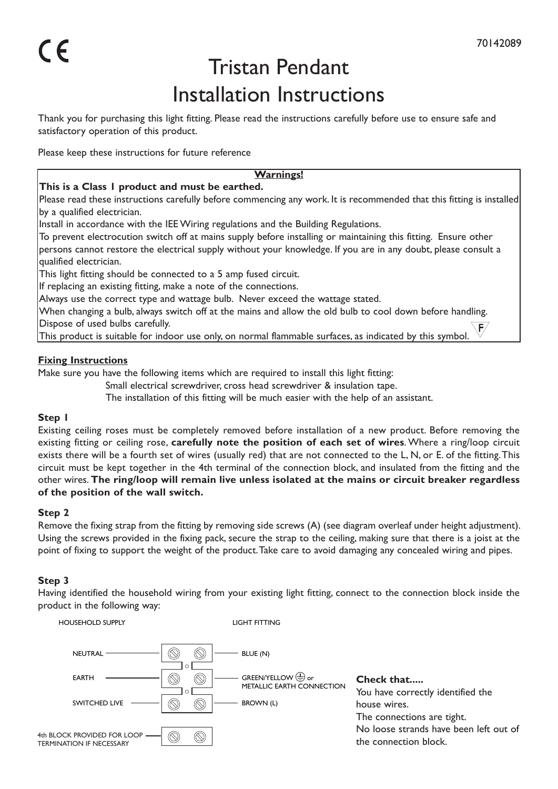# Tristan Pendant Installation Instructions

Thank you for purchasing this light fitting. Please read the instructions carefully before use to ensure safe and satisfactory operation of this product.

Please keep these instructions for future reference

#### **Warnings!**

## **This is a Class 1 product and must be earthed.**

Please read these instructions carefully before commencing any work. It is recommended that this fitting is installed by a qualified electrician.

Install in accordance with the IEE Wiring regulations and the Building Regulations.

To prevent electrocution switch off at mains supply before installing or maintaining this fitting. Ensure other persons cannot restore the electrical supply without your knowledge. If you are in any doubt, please consult a qualified electrician.

This light fitting should be connected to a 5 amp fused circuit.

If replacing an existing fitting, make a note of the connections.

Always use the correct type and wattage bulb. Never exceed the wattage stated.

When changing a bulb, always switch off at the mains and allow the old bulb to cool down before handling. Dispose of used bulbs carefully.

This product is suitable for indoor use only, on normal flammable surfaces, as indicated by this symbol.

## **Fixing Instructions**

Make sure you have the following items which are required to install this light fitting:

Small electrical screwdriver, cross head screwdriver & insulation tape.

The installation of this fitting will be much easier with the help of an assistant.

## **Step 1**

Existing ceiling roses must be completely removed before installation of a new product. Before removing the existing fitting or ceiling rose, **carefully note the position of each set of wires**. Where a ring/loop circuit exists there will be a fourth set of wires (usually red) that are not connected to the L, N, or E. of the fitting. This circuit must be kept together in the 4th terminal of the connection block, and insulated from the fitting and the other wires. **The ring/loop will remain live unless isolated at the mains or circuit breaker regardless of the position of the wall switch.**

## **Step 2**

Remove the fixing strap from the fitting by removing side screws (A) (see diagram overleaf under height adjustment). Using the screws provided in the fixing pack, secure the strap to the ceiling, making sure that there is a joist at the point of fixing to support the weight of the product. Take care to avoid damaging any concealed wiring and pipes.

## **Step 3**

Having identified the household wiring from your existing light fitting, connect to the connection block inside the product in the following way: